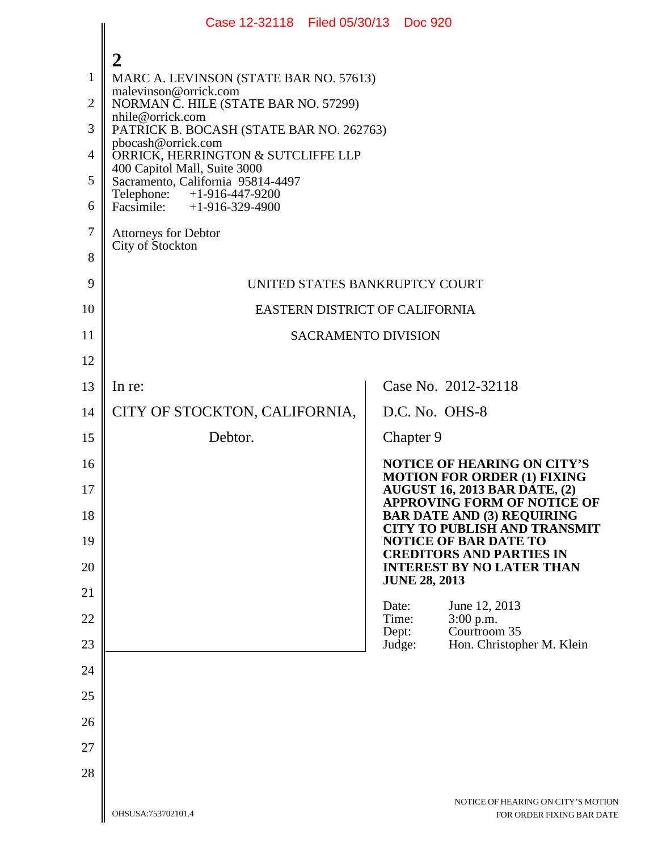|                | Case 12-32118 Filed 05/30/13 Doc 920                               |                                                                            |  |
|----------------|--------------------------------------------------------------------|----------------------------------------------------------------------------|--|
|                | $\mathbf 2$                                                        |                                                                            |  |
| $\mathbf{1}$   | MARC A. LEVINSON (STATE BAR NO. 57613)<br>malevinson@orrick.com    |                                                                            |  |
| $\overline{2}$ | NORMAN C. HILE (STATE BAR NO. 57299)<br>nhile@orrick.com           |                                                                            |  |
| 3              | PATRICK B. BOCASH (STATE BAR NO. 262763)<br>pbocash@orrick.com     |                                                                            |  |
| $\overline{4}$ | ORRICK, HERRINGTON & SUTCLIFFE LLP<br>400 Capitol Mall, Suite 3000 |                                                                            |  |
| 5              | Sacramento, California 95814-4497<br>Telephone: +1-916-447-9200    |                                                                            |  |
| 6              | Facsimile: $+1-916-329-4900$                                       |                                                                            |  |
| $\tau$         | <b>Attorneys for Debtor</b><br>City of Stockton                    |                                                                            |  |
| 8              |                                                                    |                                                                            |  |
| 9              | UNITED STATES BANKRUPTCY COURT                                     |                                                                            |  |
| 10             | EASTERN DISTRICT OF CALIFORNIA                                     |                                                                            |  |
| 11             | <b>SACRAMENTO DIVISION</b>                                         |                                                                            |  |
| 12             |                                                                    |                                                                            |  |
| 13             | In re:                                                             | Case No. 2012-32118                                                        |  |
| 14             | CITY OF STOCKTON, CALIFORNIA,                                      | D.C. No. OHS-8                                                             |  |
| 15             | Debtor.                                                            | Chapter 9                                                                  |  |
| 16             |                                                                    | <b>NOTICE OF HEARING ON CITY'S</b><br><b>MOTION FOR ORDER (1) FIXING</b>   |  |
| 17             |                                                                    | <b>AUGUST 16, 2013 BAR DATE, (2)</b><br><b>APPROVING FORM OF NOTICE OF</b> |  |
| 18             |                                                                    | <b>BAR DATE AND (3) REQUIRING</b><br><b>CITY TO PUBLISH AND TRANSMIT</b>   |  |
| 19             |                                                                    | <b>NOTICE OF BAR DATE TO</b><br><b>CREDITORS AND PARTIES IN</b>            |  |
| 20             |                                                                    | <b>INTEREST BY NO LATER THAN</b>                                           |  |
| 21             |                                                                    | <b>JUNE 28, 2013</b>                                                       |  |
| 22             |                                                                    | Date:<br>June 12, 2013<br>Time:<br>3:00 p.m.<br>Courtroom 35               |  |
| 23             |                                                                    | Dept:<br>Hon. Christopher M. Klein<br>Judge:                               |  |
| 24             |                                                                    |                                                                            |  |
| 25             |                                                                    |                                                                            |  |
| 26             |                                                                    |                                                                            |  |
| 27             |                                                                    |                                                                            |  |
| 28             |                                                                    |                                                                            |  |
|                |                                                                    | NOTICE OF HEARING ON CITY'S MOTIOI                                         |  |